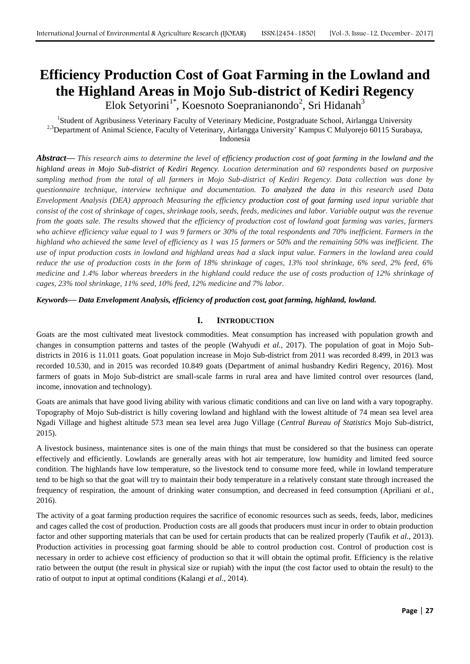# **Efficiency Production Cost of Goat Farming in the Lowland and the Highland Areas in Mojo Sub-district of Kediri Regency**

Elok Setyorini<sup>1\*</sup>, Koesnoto Soepranianondo<sup>2</sup>, Sri Hidanah<sup>3</sup>

<sup>1</sup>Student of Agribusiness Veterinary Faculty of Veterinary Medicine, Postgraduate School, Airlangga University <sup>2,3</sup>Department of Animal Science, Faculty of Veterinary, Airlangga University' Kampus C Mulyorejo 60115 Surabaya, Indonesia

*Abstract***—** *This research aims to determine the level of efficiency production cost of goat farming in the lowland and the highland areas in Mojo Sub-district of Kediri Regency. Location determination and 60 respondents based on purposive sampling method from the total of all farmers in Mojo Sub-district of Kediri Regency. Data collection was done by questionnaire technique, interview technique and documentation. To analyzed the data in this research used Data Envelopment Analysis (DEA) approach Measuring the efficiency production cost of goat farming used input variable that consist of the cost of shrinkage of cages, shrinkage tools, seeds, feeds, medicines and labor. Variable output was the revenue from the goats sale. The results showed that the efficiency of production cost of lowland goat farming was varies, farmers who achieve efficiency value equal to 1 was 9 farmers or 30% of the total respondents and 70% inefficient. Farmers in the highland who achieved the same level of efficiency as 1 was 15 farmers or 50% and the remaining 50% was inefficient. The use of input production costs in lowland and highland areas had a slack input value. Farmers in the lowland area could reduce the use of production costs in the form of 18% shrinkage of cages, 13% tool shrinkage, 6% seed, 2% feed, 6% medicine and 1.4% labor whereas breeders in the highland could reduce the use of costs production of 12% shrinkage of cages, 23% tool shrinkage, 11% seed, 10% feed, 12% medicine and 7% labor.*

*Keywords***—** *Data Envelopment Analysis, efficiency of production cost, goat farming, highland, lowland.*

# **I. INTRODUCTION**

Goats are the most cultivated meat livestock commodities. Meat consumption has increased with population growth and changes in consumption patterns and tastes of the people (Wahyudi *et al.,* 2017). The population of goat in Mojo Subdistricts in 2016 is 11.011 goats. Goat population increase in Mojo Sub-district from 2011 was recorded 8.499, in 2013 was recorded 10.530, and in 2015 was recorded 10.849 goats (Department of animal husbandry Kediri Regency, 2016). Most farmers of goats in Mojo Sub-district are small-scale farms in rural area and have limited control over resources (land, income, innovation and technology).

Goats are animals that have good living ability with various climatic conditions and can live on land with a vary topography. Topography of Mojo Sub-district is hilly covering lowland and highland with the lowest altitude of 74 mean sea level area Ngadi Village and highest altitude 573 mean sea level area Jugo Village (*Central Bureau of Statistics* Mojo Sub-district, 2015).

A livestock business, maintenance sites is one of the main things that must be considered so that the business can operate effectively and efficiently. Lowlands are generally areas with hot air temperature, low humidity and limited feed source condition. The highlands have low temperature, so the livestock tend to consume more feed, while in lowland temperature tend to be high so that the goat will try to maintain their body temperature in a relatively constant state through increased the frequency of respiration, the amount of drinking water consumption, and decreased in feed consumption (Apriliani *et al.*, 2016).

The activity of a goat farming production requires the sacrifice of economic resources such as seeds, feeds, labor, medicines and cages called the cost of production. Production costs are all goods that producers must incur in order to obtain production factor and other supporting materials that can be used for certain products that can be realized properly (Taufik *et al.*, 2013). Production activities in processing goat farming should be able to control production cost. Control of production cost is necessary in order to achieve cost efficiency of production so that it will obtain the optimal profit. Efficiency is the relative ratio between the output (the result in physical size or rupiah) with the input (the cost factor used to obtain the result) to the ratio of output to input at optimal conditions (Kalangi *et al*., 2014).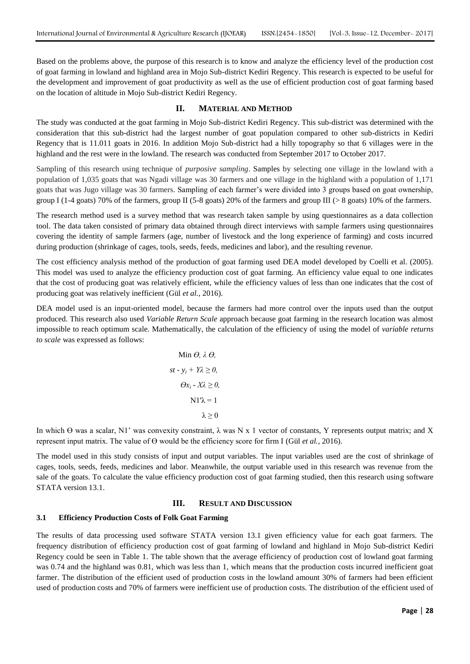Based on the problems above, the purpose of this research is to know and analyze the efficiency level of the production cost of goat farming in lowland and highland area in Mojo Sub-district Kediri Regency. This research is expected to be useful for the development and improvement of goat productivity as well as the use of efficient production cost of goat farming based on the location of altitude in Mojo Sub-district Kediri Regency.

## **II. MATERIAL AND METHOD**

The study was conducted at the goat farming in Mojo Sub-district Kediri Regency. This sub-district was determined with the consideration that this sub-district had the largest number of goat population compared to other sub-districts in Kediri Regency that is 11.011 goats in 2016. In addition Mojo Sub-district had a hilly topography so that 6 villages were in the highland and the rest were in the lowland. The research was conducted from September 2017 to October 2017.

Sampling of this research using technique of *purposive sampling*. Samples by selecting one village in the lowland with a population of 1,035 goats that was Ngadi village was 30 farmers and one village in the highland with a population of 1,171 goats that was Jugo village was 30 farmers. Sampling of each farmer's were divided into 3 groups based on goat ownership, group I (1-4 goats) 70% of the farmers, group II (5-8 goats) 20% of the farmers and group III (> 8 goats) 10% of the farmers.

The research method used is a survey method that was research taken sample by using questionnaires as a data collection tool. The data taken consisted of primary data obtained through direct interviews with sample farmers using questionnaires covering the identity of sample farmers (age, number of livestock and the long experience of farming) and costs incurred during production (shrinkage of cages, tools, seeds, feeds, medicines and labor), and the resulting revenue.

The cost efficiency analysis method of the production of goat farming used DEA model developed by Coelli et al. (2005). This model was used to analyze the efficiency production cost of goat farming. An efficiency value equal to one indicates that the cost of producing goat was relatively efficient, while the efficiency values of less than one indicates that the cost of producing goat was relatively inefficient (Gül *et al.*, 2016).

DEA model used is an input-oriented model, because the farmers had more control over the inputs used than the output produced. This research also used *Variable Return Scale* approach because goat farming in the research location was almost impossible to reach optimum scale. Mathematically, the calculation of the efficiency of using the model of *variable returns to scale* was expressed as follows:

$$
\begin{aligned}\n\text{Min } \Theta, \ \lambda \Theta, \\
st - y_i + Y\lambda \ge 0, \\
\Theta x_i - X\lambda \ge 0, \\
\text{N1'}\lambda = 1 \\
\lambda \ge 0\n\end{aligned}
$$

In which  $\Theta$  was a scalar, N1' was convexity constraint,  $\lambda$  was N x 1 vector of constants, Y represents output matrix; and X represent input matrix. The value of  $\Theta$  would be the efficiency score for firm I (Gül *et al.*, 2016).

The model used in this study consists of input and output variables. The input variables used are the cost of shrinkage of cages, tools, seeds, feeds, medicines and labor. Meanwhile, the output variable used in this research was revenue from the sale of the goats. To calculate the value efficiency production cost of goat farming studied, then this research using software STATA version 13.1.

## **III. RESULT AND DISCUSSION**

#### **3.1 Efficiency Production Costs of Folk Goat Farming**

The results of data processing used software STATA version 13.1 given efficiency value for each goat farmers. The frequency distribution of efficiency production cost of goat farming of lowland and highland in Mojo Sub-district Kediri Regency could be seen in Table 1. The table shown that the average efficiency of production cost of lowland goat farming was 0.74 and the highland was 0.81, which was less than 1, which means that the production costs incurred inefficient goat farmer. The distribution of the efficient used of production costs in the lowland amount 30% of farmers had been efficient used of production costs and 70% of farmers were inefficient use of production costs. The distribution of the efficient used of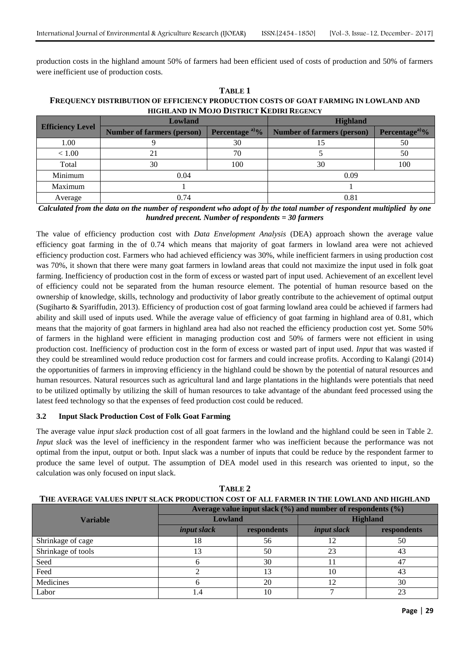production costs in the highland amount 50% of farmers had been efficient used of costs of production and 50% of farmers were inefficient use of production costs.

**TABLE 1 FREQUENCY DISTRIBUTION OF EFFICIENCY PRODUCTION COSTS OF GOAT FARMING IN LOWLAND AND HIGHLAND IN MOJO DISTRICT KEDIRI REGENCY**

| <b>Efficiency Level</b> | Lowland                           |                            | <b>Highland</b>                   |                            |  |
|-------------------------|-----------------------------------|----------------------------|-----------------------------------|----------------------------|--|
|                         | <b>Number of farmers (person)</b> | Percentage <sup>a)</sup> % | <b>Number of farmers (person)</b> | Percentage <sup>a)</sup> % |  |
| 1.00                    |                                   | 30                         |                                   | 50                         |  |
| < 1.00                  |                                   | 70                         |                                   | 50                         |  |
| Total                   | 30                                | 100                        | 30                                | 100                        |  |
| Minimum                 | 0.04                              |                            | 0.09                              |                            |  |
| Maximum                 |                                   |                            |                                   |                            |  |
| Average                 | 0.74                              |                            | 0.81                              |                            |  |

*Calculated from the data on the number of respondent who adopt of by the total number of respondent multiplied by one hundred precent. Number of respondents = 30 farmers*

The value of efficiency production cost with *Data Envelopment Analysis* (DEA) approach shown the average value efficiency goat farming in the of 0.74 which means that majority of goat farmers in lowland area were not achieved efficiency production cost. Farmers who had achieved efficiency was 30%, while inefficient farmers in using production cost was 70%, it shown that there were many goat farmers in lowland areas that could not maximize the input used in folk goat farming. Inefficiency of production cost in the form of excess or wasted part of input used. Achievement of an excellent level of efficiency could not be separated from the human resource element. The potential of human resource based on the ownership of knowledge, skills, technology and productivity of labor greatly contribute to the achievement of optimal output (Sugiharto & Syariffudin, 2013). Efficiency of production cost of goat farming lowland area could be achieved if farmers had ability and skill used of inputs used. While the average value of efficiency of goat farming in highland area of 0.81, which means that the majority of goat farmers in highland area had also not reached the efficiency production cost yet. Some 50% of farmers in the highland were efficient in managing production cost and 50% of farmers were not efficient in using production cost. Inefficiency of production cost in the form of excess or wasted part of input used. *Input* that was wasted if they could be streamlined would reduce production cost for farmers and could increase profits. According to Kalangi (2014) the opportunities of farmers in improving efficiency in the highland could be shown by the potential of natural resources and human resources. Natural resources such as agricultural land and large plantations in the highlands were potentials that need to be utilized optimally by utilizing the skill of human resources to take advantage of the abundant feed processed using the latest feed technology so that the expenses of feed production cost could be reduced.

# **3.2 Input Slack Production Cost of Folk Goat Farming**

The average value *input slack* production cost of all goat farmers in the lowland and the highland could be seen in Table 2. *Input slack* was the level of inefficiency in the respondent farmer who was inefficient because the performance was not optimal from the input*,* output or both. Input slack was a number of inputs that could be reduce by the respondent farmer to produce the same level of output. The assumption of DEA model used in this research was oriented to input*,* so the calculation was only focused on input slack.

| THE A VERAGE VALUES INTUT SEAUR I RODUUTION COST OF ALL FARMER IN THE LOWLAND AND HIGHLAND |                                                                   |             |                    |             |  |  |  |
|--------------------------------------------------------------------------------------------|-------------------------------------------------------------------|-------------|--------------------|-------------|--|--|--|
|                                                                                            | Average value input slack $(\%)$ and number of respondents $(\%)$ |             |                    |             |  |  |  |
| Variable                                                                                   | <b>Lowland</b>                                                    |             | <b>Highland</b>    |             |  |  |  |
|                                                                                            | <i>input slack</i>                                                | respondents | <i>input slack</i> | respondents |  |  |  |
| Shrinkage of cage                                                                          | 18                                                                | 56          | 12                 | 50          |  |  |  |
| Shrinkage of tools                                                                         | 13                                                                | 50          | 23                 | 43          |  |  |  |
| Seed                                                                                       | n                                                                 | 30          |                    | 47          |  |  |  |
| Feed                                                                                       |                                                                   | 13          | 10                 | 43          |  |  |  |
| Medicines                                                                                  |                                                                   | 20          | 12                 | 30          |  |  |  |
| Labor                                                                                      | 1.4                                                               | 10          |                    | 23          |  |  |  |

**TABLE 2 THE AVERAGE VALUES INPUT SLACK PRODUCTION COST OF ALL FARMER IN THE LOWLAND AND HIGHLAND**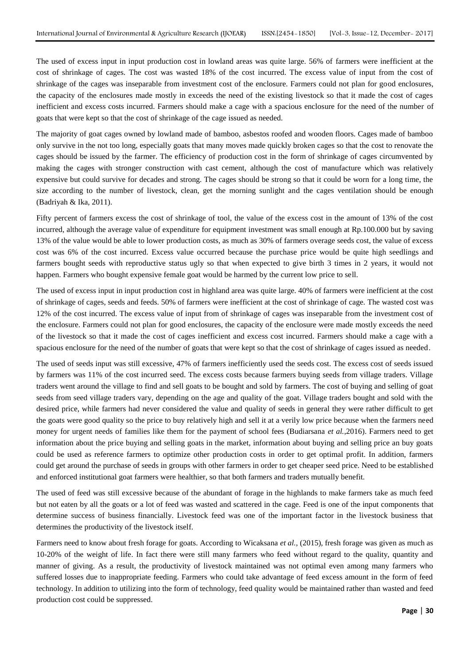The used of excess input in input production cost in lowland areas was quite large. 56% of farmers were inefficient at the cost of shrinkage of cages. The cost was wasted 18% of the cost incurred. The excess value of input from the cost of shrinkage of the cages was inseparable from investment cost of the enclosure. Farmers could not plan for good enclosures, the capacity of the enclosures made mostly in exceeds the need of the existing livestock so that it made the cost of cages inefficient and excess costs incurred. Farmers should make a cage with a spacious enclosure for the need of the number of goats that were kept so that the cost of shrinkage of the cage issued as needed.

The majority of goat cages owned by lowland made of bamboo, asbestos roofed and wooden floors. Cages made of bamboo only survive in the not too long, especially goats that many moves made quickly broken cages so that the cost to renovate the cages should be issued by the farmer. The efficiency of production cost in the form of shrinkage of cages circumvented by making the cages with stronger construction with cast cement, although the cost of manufacture which was relatively expensive but could survive for decades and strong. The cages should be strong so that it could be worn for a long time, the size according to the number of livestock, clean, get the morning sunlight and the cages ventilation should be enough (Badriyah & Ika, 2011).

Fifty percent of farmers excess the cost of shrinkage of tool, the value of the excess cost in the amount of 13% of the cost incurred, although the average value of expenditure for equipment investment was small enough at Rp.100.000 but by saving 13% of the value would be able to lower production costs, as much as 30% of farmers overage seeds cost, the value of excess cost was 6% of the cost incurred. Excess value occurred because the purchase price would be quite high seedlings and farmers bought seeds with reproductive status ugly so that when expected to give birth 3 times in 2 years, it would not happen. Farmers who bought expensive female goat would be harmed by the current low price to sell.

The used of excess input in input production cost in highland area was quite large. 40% of farmers were inefficient at the cost of shrinkage of cages, seeds and feeds. 50% of farmers were inefficient at the cost of shrinkage of cage. The wasted cost was 12% of the cost incurred. The excess value of input from of shrinkage of cages was inseparable from the investment cost of the enclosure. Farmers could not plan for good enclosures, the capacity of the enclosure were made mostly exceeds the need of the livestock so that it made the cost of cages inefficient and excess cost incurred. Farmers should make a cage with a spacious enclosure for the need of the number of goats that were kept so that the cost of shrinkage of cages issued as needed.

The used of seeds input was still excessive, 47% of farmers inefficiently used the seeds cost. The excess cost of seeds issued by farmers was 11% of the cost incurred seed. The excess costs because farmers buying seeds from village traders. Village traders went around the village to find and sell goats to be bought and sold by farmers. The cost of buying and selling of goat seeds from seed village traders vary, depending on the age and quality of the goat. Village traders bought and sold with the desired price, while farmers had never considered the value and quality of seeds in general they were rather difficult to get the goats were good quality so the price to buy relatively high and sell it at a verily low price because when the farmers need money for urgent needs of families like them for the payment of school fees (Budiarsana *et al.*,2016). Farmers need to get information about the price buying and selling goats in the market, information about buying and selling price an buy goats could be used as reference farmers to optimize other production costs in order to get optimal profit. In addition, farmers could get around the purchase of seeds in groups with other farmers in order to get cheaper seed price. Need to be established and enforced institutional goat farmers were healthier, so that both farmers and traders mutually benefit.

The used of feed was still excessive because of the abundant of forage in the highlands to make farmers take as much feed but not eaten by all the goats or a lot of feed was wasted and scattered in the cage. Feed is one of the input components that determine success of business financially. Livestock feed was one of the important factor in the livestock business that determines the productivity of the livestock itself.

Farmers need to know about fresh forage for goats. According to Wicaksana *et al.,* (2015), fresh forage was given as much as 10-20% of the weight of life. In fact there were still many farmers who feed without regard to the quality, quantity and manner of giving. As a result, the productivity of livestock maintained was not optimal even among many farmers who suffered losses due to inappropriate feeding. Farmers who could take advantage of feed excess amount in the form of feed technology. In addition to utilizing into the form of technology, feed quality would be maintained rather than wasted and feed production cost could be suppressed.